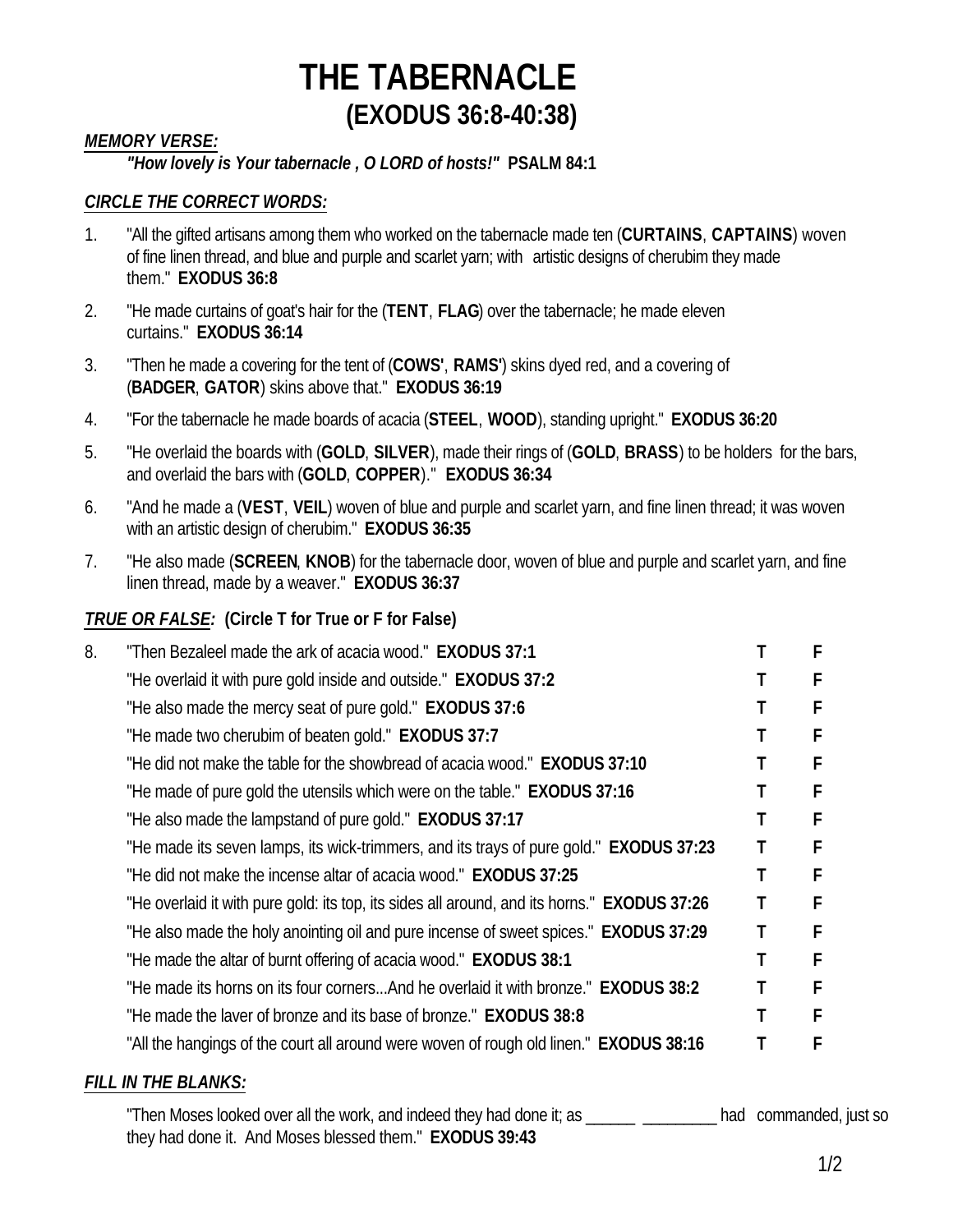### *MEMORY VERSE:*

### *"How lovely is Your tabernacle , O LORD of hosts!"* **PSALM 84:1**

#### *CIRCLE THE CORRECT WORDS:*

- 1. "All the gifted artisans among them who worked on the tabernacle made ten (**CURTAINS**, **CAPTAINS**) woven of fine linen thread, and blue and purple and scarlet yarn; with artistic designs of cherubim they made them." **EXODUS 36:8**
- 2. "He made curtains of goat's hair for the (**TENT**, **FLAG**) over the tabernacle; he made eleven curtains." **EXODUS 36:14**
- 3. "Then he made a covering for the tent of (**COWS'**, **RAMS'**) skins dyed red, and a covering of (**BADGER**, **GATOR**) skins above that." **EXODUS 36:19**
- 4. "For the tabernacle he made boards of acacia (**STEEL**, **WOOD**), standing upright." **EXODUS 36:20**
- 5. "He overlaid the boards with (**GOLD**, **SILVER**), made their rings of (**GOLD**, **BRASS**) to be holders for the bars, and overlaid the bars with (**GOLD**, **COPPER**)." **EXODUS 36:34**
- 6. "And he made a (**VEST**, **VEIL**) woven of blue and purple and scarlet yarn, and fine linen thread; it was woven with an artistic design of cherubim." **EXODUS 36:35**
- 7. "He also made (**SCREEN**, **KNOB**) for the tabernacle door, woven of blue and purple and scarlet yarn, and fine linen thread, made by a weaver." **EXODUS 36:37**

#### *TRUE OR FALSE:* **(Circle T for True or F for False)**

| 8. | "Then Bezaleel made the ark of acacia wood." <b>EXODUS 37:1</b>                             | F |  |
|----|---------------------------------------------------------------------------------------------|---|--|
|    | "He overlaid it with pure gold inside and outside." <b>EXODUS 37:2</b>                      |   |  |
|    | "He also made the mercy seat of pure gold." <b>EXODUS 37:6</b>                              | F |  |
|    | "He made two cherubim of beaten gold." EXODUS 37:7                                          |   |  |
|    | "He did not make the table for the showbread of acacia wood." <b>EXODUS 37:10</b>           | F |  |
|    | "He made of pure gold the utensils which were on the table." EXODUS 37:16                   |   |  |
|    | "He also made the lampstand of pure gold." <b>EXODUS 37:17</b>                              |   |  |
|    | "He made its seven lamps, its wick-trimmers, and its trays of pure gold." EXODUS 37:23      |   |  |
|    | "He did not make the incense altar of acacia wood." <b>EXODUS 37:25</b>                     |   |  |
|    | "He overlaid it with pure gold: its top, its sides all around, and its horns." EXODUS 37:26 |   |  |
|    | "He also made the holy anointing oil and pure incense of sweet spices." EXODUS 37:29        |   |  |
|    | "He made the altar of burnt offering of acacia wood." EXODUS 38:1                           |   |  |
|    | "He made its horns on its four cornersAnd he overlaid it with bronze." <b>EXODUS 38:2</b>   |   |  |
|    | "He made the laver of bronze and its base of bronze." <b>EXODUS 38:8</b>                    | с |  |
|    | "All the hangings of the court all around were woven of rough old linen." EXODUS 38:16      |   |  |
|    |                                                                                             |   |  |

#### *FILL IN THE BLANKS:*

"Then Moses looked over all the work, and indeed they had done it; as \_\_\_\_\_\_\_\_\_\_\_\_\_\_\_ had commanded, just so they had done it. And Moses blessed them." **EXODUS 39:43**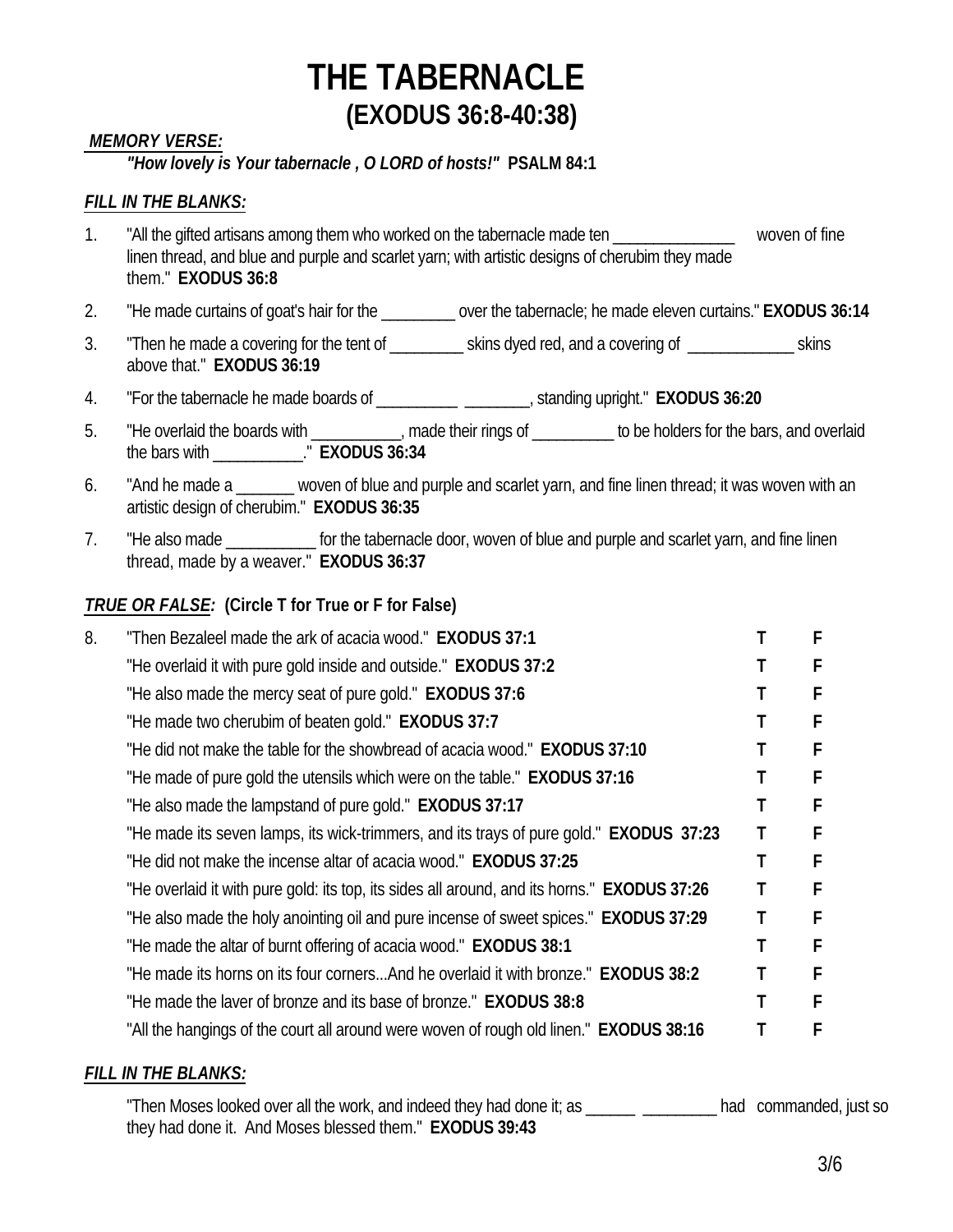#### *MEMORY VERSE:*

#### *"How lovely is Your tabernacle , O LORD of hosts!"* **PSALM 84:1**

#### *FILL IN THE BLANKS:*

- 1. "All the gifted artisans among them who worked on the tabernacle made ten \_\_\_\_\_\_\_\_\_\_\_\_\_\_\_\_\_\_\_\_ woven of fine linen thread, and blue and purple and scarlet yarn; with artistic designs of cherubim they made them." **EXODUS 36:8**
- 2. "He made curtains of goat's hair for the \_\_\_\_\_\_\_\_\_ over the tabernacle; he made eleven curtains." **EXODUS 36:14**
- 3. Then he made a covering for the tent of skins dyed red, and a covering of skins skins above that." **EXODUS 36:19**
- 4. "For the tabernacle he made boards of \_\_\_\_\_\_\_\_\_\_ \_\_\_\_\_\_\_\_, standing upright." **EXODUS 36:20**
- 5. "He overlaid the boards with \_\_\_\_\_\_\_\_\_, made their rings of \_\_\_\_\_\_\_\_ to be holders for the bars, and overlaid the bars with \_\_\_\_\_\_\_\_\_\_\_." **EXODUS 36:34**
- 6. "And he made a \_\_\_\_\_\_ woven of blue and purple and scarlet yarn, and fine linen thread; it was woven with an artistic design of cherubim." **EXODUS 36:35**
- 7. "He also made **The interpret of the tabernacle door, woven of blue and purple and scarlet yarn, and fine linen** thread, made by a weaver." **EXODUS 36:37**

#### *TRUE OR FALSE:* **(Circle T for True or F for False)**

| 8. | "Then Bezaleel made the ark of acacia wood." EXODUS 37:1                                      | F |
|----|-----------------------------------------------------------------------------------------------|---|
|    | "He overlaid it with pure gold inside and outside." EXODUS 37:2                               |   |
|    | "He also made the mercy seat of pure gold." <b>EXODUS 37:6</b>                                |   |
|    | "He made two cherubim of beaten gold." EXODUS 37:7                                            |   |
|    | "He did not make the table for the showbread of acacia wood." <b>EXODUS 37:10</b>             |   |
|    | "He made of pure gold the utensils which were on the table." EXODUS 37:16                     |   |
|    | "He also made the lampstand of pure gold." <b>EXODUS 37:17</b>                                |   |
|    | "He made its seven lamps, its wick-trimmers, and its trays of pure gold." <b>EXODUS 37:23</b> |   |
|    | "He did not make the incense altar of acacia wood." <b>EXODUS 37:25</b>                       | F |
|    | "He overlaid it with pure gold: its top, its sides all around, and its horns." EXODUS 37:26   |   |
|    | "He also made the holy anointing oil and pure incense of sweet spices." EXODUS 37:29          | F |
|    | "He made the altar of burnt offering of acacia wood." EXODUS 38:1                             | F |
|    | "He made its horns on its four cornersAnd he overlaid it with bronze." EXODUS 38:2            | F |
|    | "He made the laver of bronze and its base of bronze." <b>EXODUS 38:8</b>                      | F |
|    | "All the hangings of the court all around were woven of rough old linen." <b>EXODUS 38:16</b> |   |

#### *FILL IN THE BLANKS:*

"Then Moses looked over all the work, and indeed they had done it; as \_\_\_\_\_\_\_ \_\_\_\_\_\_\_\_ had commanded, just so they had done it. And Moses blessed them." **EXODUS 39:43**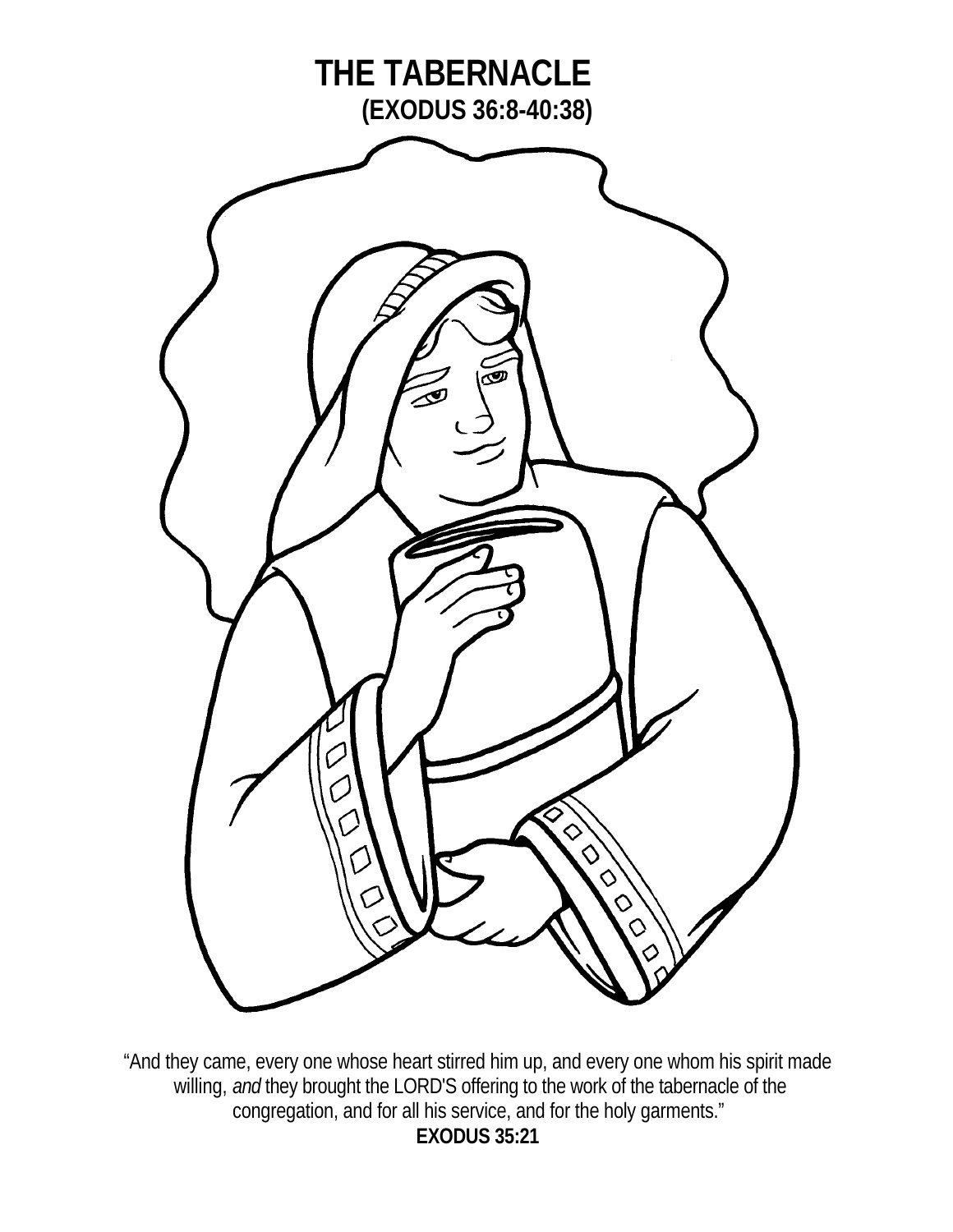

"And they came, every one whose heart stirred him up, and every one whom his spirit made willing, *and* they brought the LORD'S offering to the work of the tabernacle of the congregation, and for all his service, and for the holy garments." **EXODUS 35:21**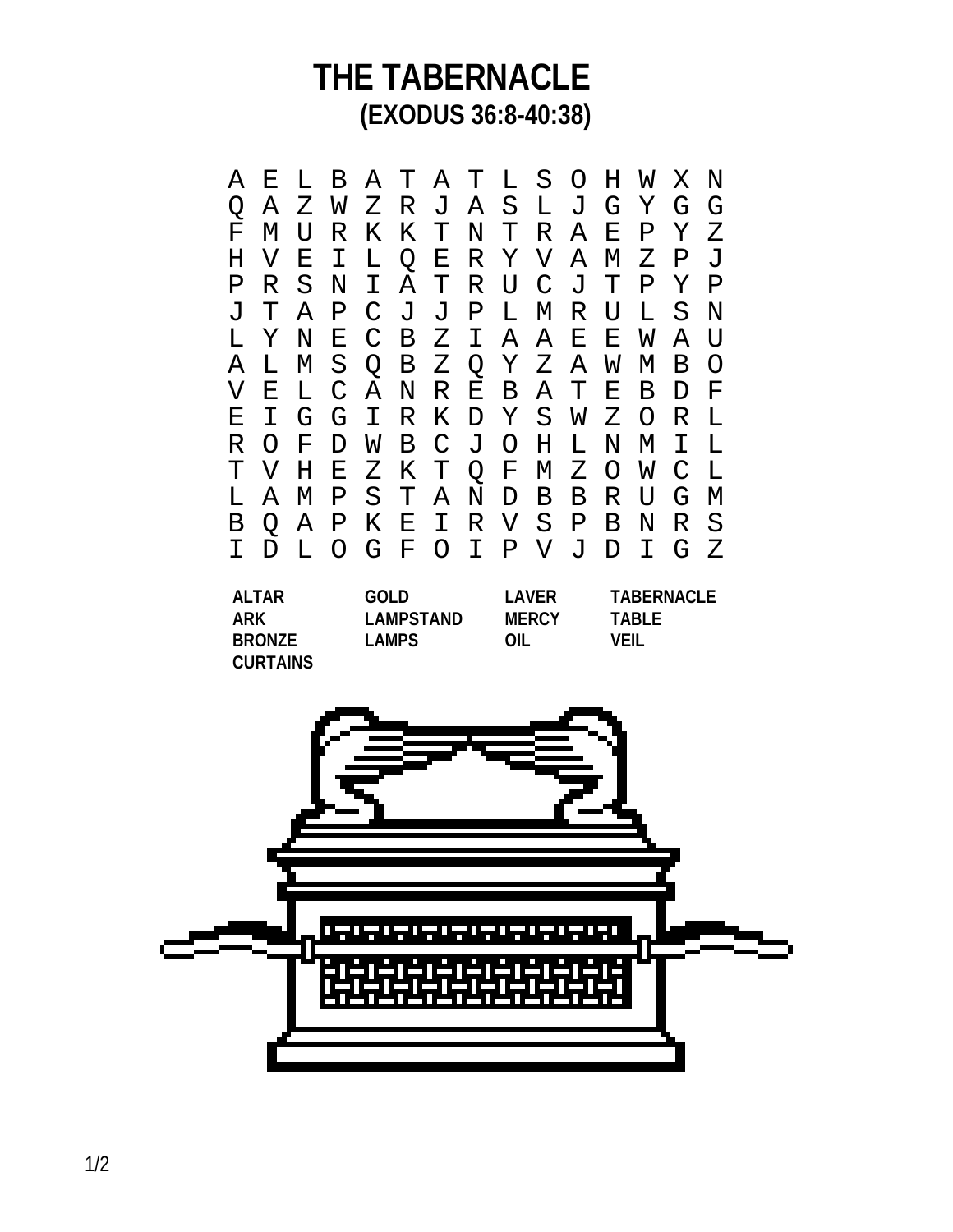A E L B A T A T L S O H W X N Q A Z W Z R J A S L J G Y G G F M U R K K T N T R A E P Y Z H V E I L Q E R Y V A M Z P J R S N I A T R U C J T P Y P<br>T A P C J J P L M R U L S N J T A P C J J P L M R U L L Y N E C B Z I A A E E W A U A L M S Q B Z Q Y Z A W M B O V E L C A N R E B A T E B D F E I G G I R K D Y S W Z O R L R O F D W B C J O H L N M I L T V H E Z K T Q F M Z O W C L L A M P S T A N D B B R U G M B Q A P K E I R V S P B N R S I D L O G F O I P V J D **ALTAR GOLD LAVER TABERNACLE ARK LAMPSTAND MERCY TABLE BRONZE LAMPS OIL VEIL CURTAINS**

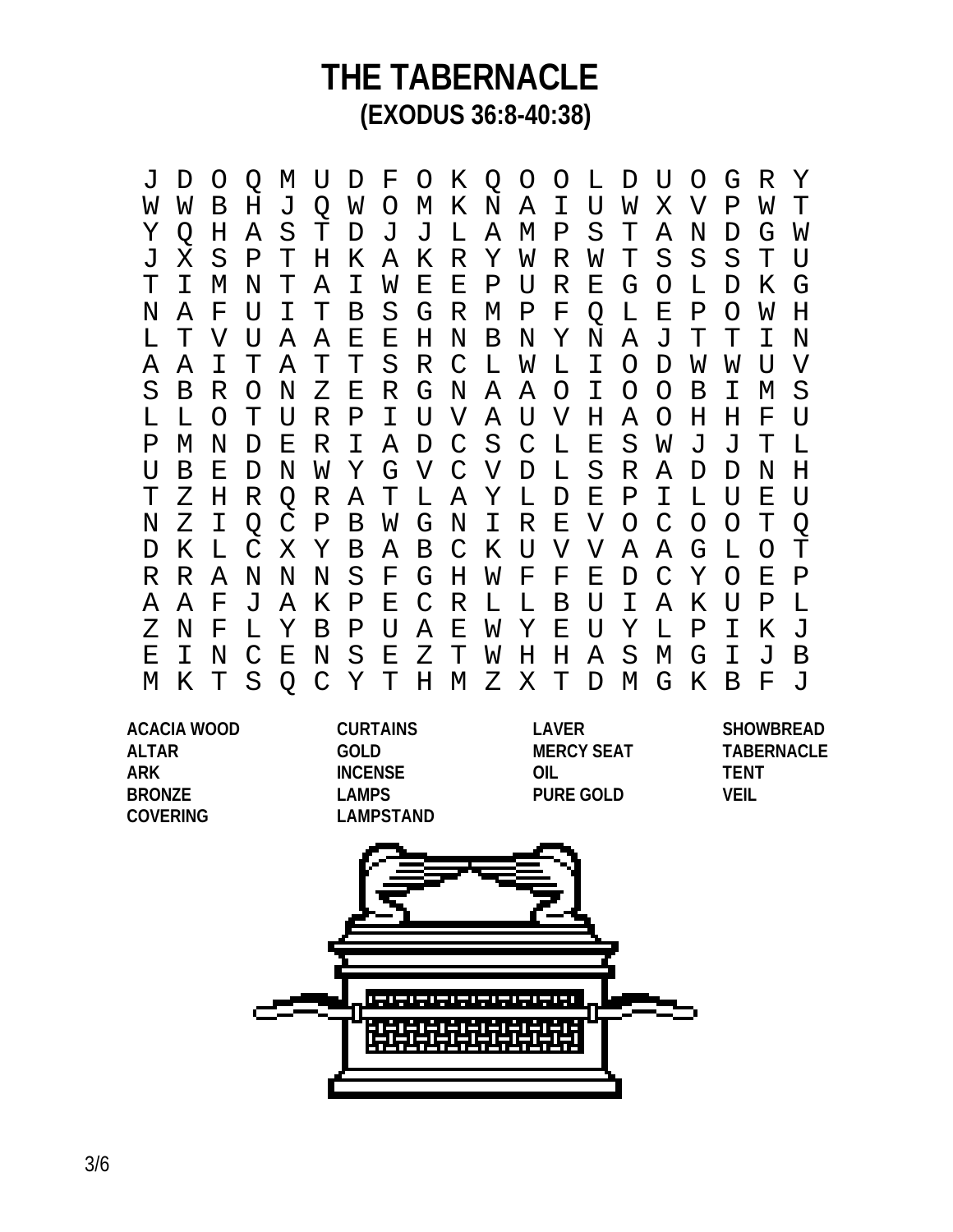J D O Q M U D F O K Q O O L D U O G R Y W W B H J Q W O M K N A I U W X V P W T Y Q H A S T D J J L A M P S T A N D G W J X S P T H K A K R Y W R W T S S S T U T I M N T A I W E E P U R E G O L D K G N A F U I T B S G R M P F Q L E P O W H L T V U A A E E H N B N Y N A J T T I N A A I T A T T S R C L W L I O D W W U V S B R O N Z E R G N A A O I O O B I M S L L O T U R P I U V A U V H A O H H F U P M N D E R I A D C S C L E S W J J T L U B E D N W Y G V C V D L S R A D D N H T Z H R Q R A T L A Y L D E P I L U E U N Z I Q C P B W G N I R E V O C O O T Q D K L C X Y B A B C K U V V A A G L O T R R A N N N S F G H W F F E D C Y O E P A A F J A K P E C R L L B U I A K U P L Z N F L Y B P U A E W Y E U Y L P I K J E I N C E N S E Z T W H H A S M G I J B M K T S Q C Y T H M Z X T D M G K B F J

**ACACIA WOOD CURTAINS LAVER SHOWBREAD ALTAR GOLD MERCY SEAT TABERNACLE ARK INCENSE OIL TENT BRONZE LAMPS PURE GOLD VEIL COVERING LAMPSTAND**